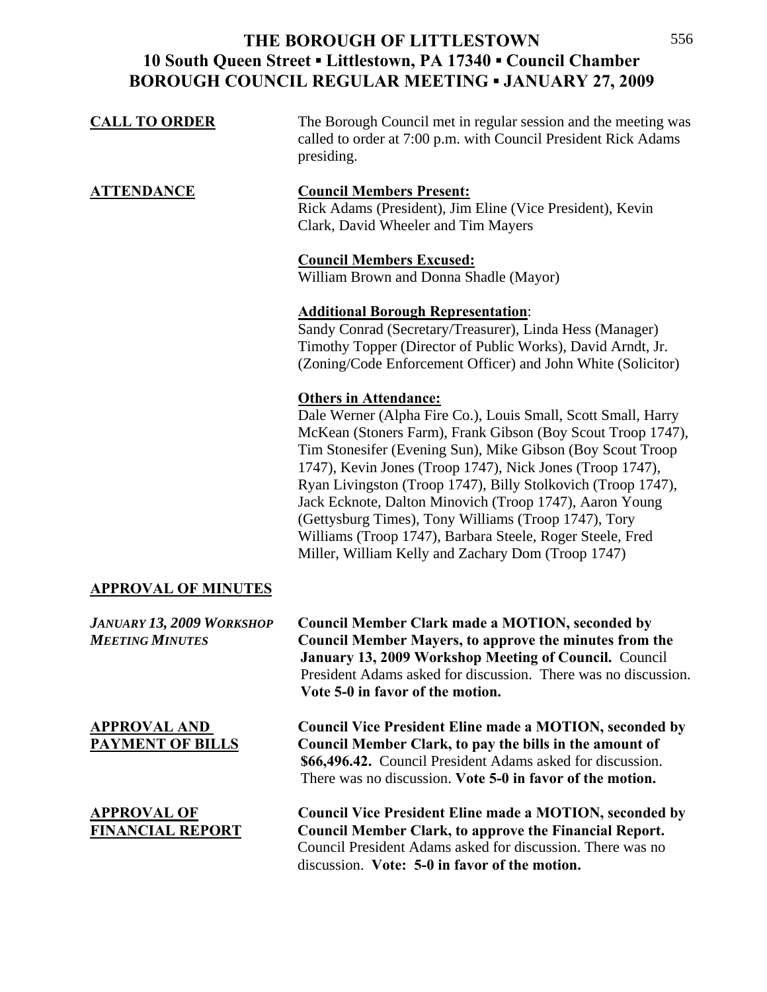# **THE BOROUGH OF LITTLESTOWN 10 South Queen Street ▪ Littlestown, PA 17340 ▪ Council Chamber BOROUGH COUNCIL REGULAR MEETING ▪ JANUARY 27, 2009**

| <b>CALL TO ORDER</b>                                       | The Borough Council met in regular session and the meeting was<br>called to order at 7:00 p.m. with Council President Rick Adams<br>presiding.                                                                                                                                                                                                                                                                                                                                                                                                                                                |
|------------------------------------------------------------|-----------------------------------------------------------------------------------------------------------------------------------------------------------------------------------------------------------------------------------------------------------------------------------------------------------------------------------------------------------------------------------------------------------------------------------------------------------------------------------------------------------------------------------------------------------------------------------------------|
| <u>ATTENDANCE</u>                                          | <b>Council Members Present:</b><br>Rick Adams (President), Jim Eline (Vice President), Kevin<br>Clark, David Wheeler and Tim Mayers                                                                                                                                                                                                                                                                                                                                                                                                                                                           |
|                                                            | <b>Council Members Excused:</b><br>William Brown and Donna Shadle (Mayor)                                                                                                                                                                                                                                                                                                                                                                                                                                                                                                                     |
|                                                            | <b>Additional Borough Representation:</b><br>Sandy Conrad (Secretary/Treasurer), Linda Hess (Manager)<br>Timothy Topper (Director of Public Works), David Arndt, Jr.<br>(Zoning/Code Enforcement Officer) and John White (Solicitor)                                                                                                                                                                                                                                                                                                                                                          |
|                                                            | <b>Others in Attendance:</b><br>Dale Werner (Alpha Fire Co.), Louis Small, Scott Small, Harry<br>McKean (Stoners Farm), Frank Gibson (Boy Scout Troop 1747),<br>Tim Stonesifer (Evening Sun), Mike Gibson (Boy Scout Troop<br>1747), Kevin Jones (Troop 1747), Nick Jones (Troop 1747),<br>Ryan Livingston (Troop 1747), Billy Stolkovich (Troop 1747),<br>Jack Ecknote, Dalton Minovich (Troop 1747), Aaron Young<br>(Gettysburg Times), Tony Williams (Troop 1747), Tory<br>Williams (Troop 1747), Barbara Steele, Roger Steele, Fred<br>Miller, William Kelly and Zachary Dom (Troop 1747) |
| <b>APPROVAL OF MINUTES</b>                                 |                                                                                                                                                                                                                                                                                                                                                                                                                                                                                                                                                                                               |
| <b>JANUARY 13, 2009 WORKSHOP</b><br><b>MEETING MINUTES</b> | <b>Council Member Clark made a MOTION, seconded by</b><br><b>Council Member Mayers, to approve the minutes from the</b><br>January 13, 2009 Workshop Meeting of Council. Council<br>President Adams asked for discussion. There was no discussion.<br>Vote 5-0 in favor of the motion.                                                                                                                                                                                                                                                                                                        |
| <b>APPROVAL AND</b><br><b>PAYMENT OF BILLS</b>             | <b>Council Vice President Eline made a MOTION, seconded by</b><br>Council Member Clark, to pay the bills in the amount of<br>\$66,496.42. Council President Adams asked for discussion.<br>There was no discussion. Vote 5-0 in favor of the motion.                                                                                                                                                                                                                                                                                                                                          |
| <u>APPROVAL OF</u><br><b>FINANCIAL REPORT</b>              | <b>Council Vice President Eline made a MOTION, seconded by</b><br><b>Council Member Clark, to approve the Financial Report.</b><br>Council President Adams asked for discussion. There was no<br>discussion. Vote: 5-0 in favor of the motion.                                                                                                                                                                                                                                                                                                                                                |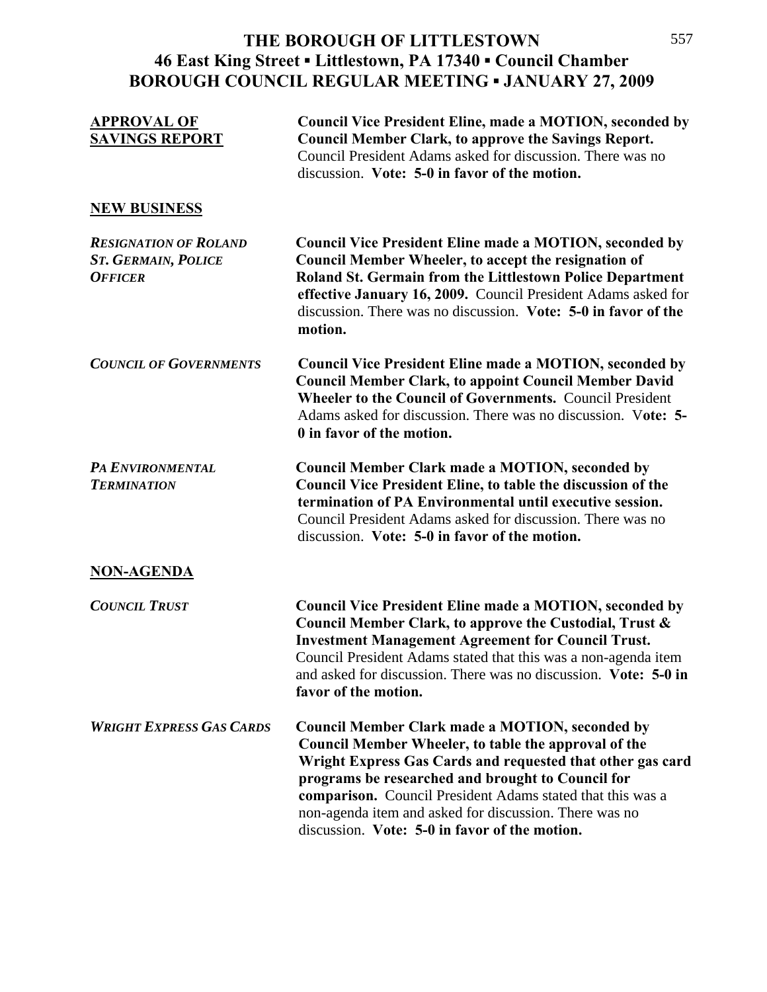#### **THE BOROUGH OF LITTLESTOWN 46 East King Street ▪ Littlestown, PA 17340 ▪ Council Chamber BOROUGH COUNCIL REGULAR MEETING ▪ JANUARY 27, 2009**  $\frac{1}{2}$

| <b>APPROVAL OF</b><br><b>SAVINGS REPORT</b>                                  | <b>Council Vice President Eline, made a MOTION, seconded by</b><br><b>Council Member Clark, to approve the Savings Report.</b><br>Council President Adams asked for discussion. There was no<br>discussion. Vote: 5-0 in favor of the motion.                                                                                                                                                              |
|------------------------------------------------------------------------------|------------------------------------------------------------------------------------------------------------------------------------------------------------------------------------------------------------------------------------------------------------------------------------------------------------------------------------------------------------------------------------------------------------|
| <b>NEW BUSINESS</b>                                                          |                                                                                                                                                                                                                                                                                                                                                                                                            |
| <b>RESIGNATION OF ROLAND</b><br><b>ST. GERMAIN, POLICE</b><br><b>OFFICER</b> | <b>Council Vice President Eline made a MOTION, seconded by</b><br>Council Member Wheeler, to accept the resignation of<br>Roland St. Germain from the Littlestown Police Department<br>effective January 16, 2009. Council President Adams asked for<br>discussion. There was no discussion. Vote: 5-0 in favor of the<br>motion.                                                                          |
| <b>COUNCIL OF GOVERNMENTS</b>                                                | <b>Council Vice President Eline made a MOTION, seconded by</b><br><b>Council Member Clark, to appoint Council Member David</b><br><b>Wheeler to the Council of Governments. Council President</b><br>Adams asked for discussion. There was no discussion. Vote: 5-<br>0 in favor of the motion.                                                                                                            |
| PA ENVIRONMENTAL<br><b>TERMINATION</b>                                       | <b>Council Member Clark made a MOTION, seconded by</b><br><b>Council Vice President Eline, to table the discussion of the</b><br>termination of PA Environmental until executive session.<br>Council President Adams asked for discussion. There was no<br>discussion. Vote: 5-0 in favor of the motion.                                                                                                   |
| <b>NON-AGENDA</b>                                                            |                                                                                                                                                                                                                                                                                                                                                                                                            |
| <b>COUNCIL TRUST</b>                                                         | <b>Council Vice President Eline made a MOTION, seconded by</b><br>Council Member Clark, to approve the Custodial, Trust &<br><b>Investment Management Agreement for Council Trust.</b><br>Council President Adams stated that this was a non-agenda item<br>and asked for discussion. There was no discussion. Vote: 5-0 in<br>favor of the motion.                                                        |
| <b>WRIGHT EXPRESS GAS CARDS</b>                                              | <b>Council Member Clark made a MOTION, seconded by</b><br>Council Member Wheeler, to table the approval of the<br>Wright Express Gas Cards and requested that other gas card<br>programs be researched and brought to Council for<br>comparison. Council President Adams stated that this was a<br>non-agenda item and asked for discussion. There was no<br>discussion. Vote: 5-0 in favor of the motion. |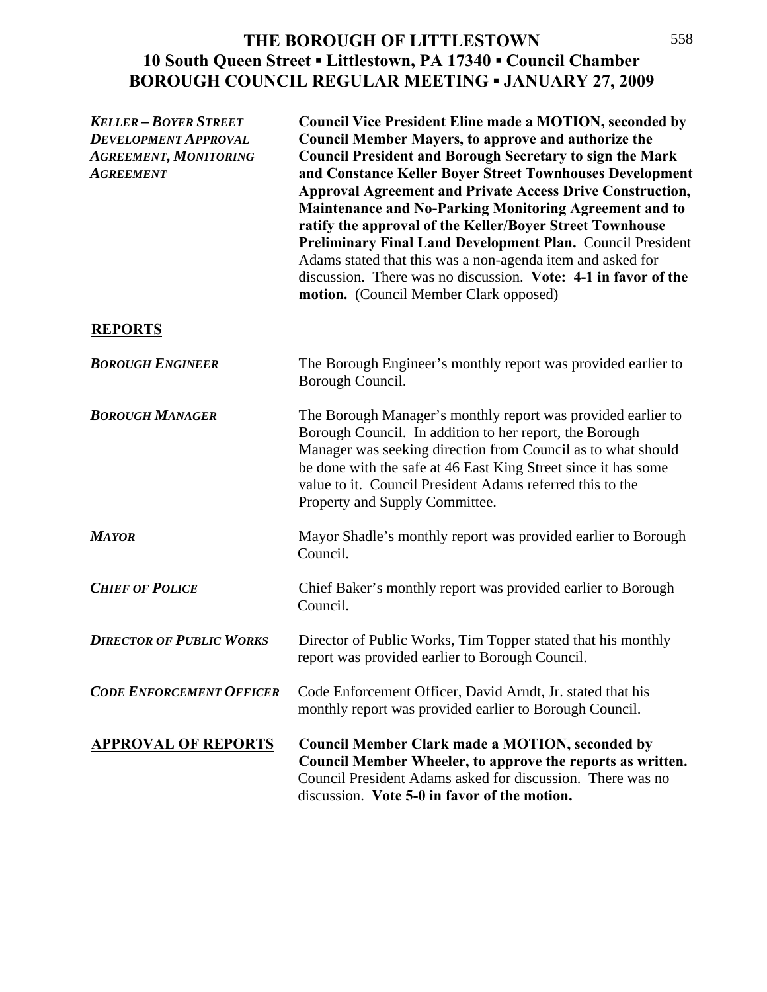# **THE BOROUGH OF LITTLESTOWN 10 South Queen Street ▪ Littlestown, PA 17340 ▪ Council Chamber BOROUGH COUNCIL REGULAR MEETING ▪ JANUARY 27, 2009**

| <b>KELLER - BOYER STREET</b><br><b>DEVELOPMENT APPROVAL</b><br><b>AGREEMENT, MONITORING</b><br><b>AGREEMENT</b> | <b>Council Vice President Eline made a MOTION, seconded by</b><br><b>Council Member Mayers, to approve and authorize the</b><br><b>Council President and Borough Secretary to sign the Mark</b><br>and Constance Keller Boyer Street Townhouses Development<br><b>Approval Agreement and Private Access Drive Construction,</b><br>Maintenance and No-Parking Monitoring Agreement and to<br>ratify the approval of the Keller/Boyer Street Townhouse<br>Preliminary Final Land Development Plan. Council President<br>Adams stated that this was a non-agenda item and asked for<br>discussion. There was no discussion. Vote: 4-1 in favor of the<br>motion. (Council Member Clark opposed) |
|-----------------------------------------------------------------------------------------------------------------|-----------------------------------------------------------------------------------------------------------------------------------------------------------------------------------------------------------------------------------------------------------------------------------------------------------------------------------------------------------------------------------------------------------------------------------------------------------------------------------------------------------------------------------------------------------------------------------------------------------------------------------------------------------------------------------------------|
| <b>REPORTS</b>                                                                                                  |                                                                                                                                                                                                                                                                                                                                                                                                                                                                                                                                                                                                                                                                                               |
| <b>BOROUGH ENGINEER</b>                                                                                         | The Borough Engineer's monthly report was provided earlier to<br>Borough Council.                                                                                                                                                                                                                                                                                                                                                                                                                                                                                                                                                                                                             |
| <b>BOROUGH MANAGER</b>                                                                                          | The Borough Manager's monthly report was provided earlier to<br>Borough Council. In addition to her report, the Borough<br>Manager was seeking direction from Council as to what should<br>be done with the safe at 46 East King Street since it has some<br>value to it. Council President Adams referred this to the<br>Property and Supply Committee.                                                                                                                                                                                                                                                                                                                                      |
| <b>MAYOR</b>                                                                                                    | Mayor Shadle's monthly report was provided earlier to Borough<br>Council.                                                                                                                                                                                                                                                                                                                                                                                                                                                                                                                                                                                                                     |
| <b>CHIEF OF POLICE</b>                                                                                          | Chief Baker's monthly report was provided earlier to Borough<br>Council.                                                                                                                                                                                                                                                                                                                                                                                                                                                                                                                                                                                                                      |
| <b>DIRECTOR OF PUBLIC WORKS</b>                                                                                 | Director of Public Works, Tim Topper stated that his monthly<br>report was provided earlier to Borough Council.                                                                                                                                                                                                                                                                                                                                                                                                                                                                                                                                                                               |
| <b>CODE ENFORCEMENT OFFICER</b>                                                                                 | Code Enforcement Officer, David Arndt, Jr. stated that his<br>monthly report was provided earlier to Borough Council.                                                                                                                                                                                                                                                                                                                                                                                                                                                                                                                                                                         |
| <b>APPROVAL OF REPORTS</b>                                                                                      | <b>Council Member Clark made a MOTION, seconded by</b><br>Council Member Wheeler, to approve the reports as written.<br>Council President Adams asked for discussion. There was no<br>discussion. Vote 5-0 in favor of the motion.                                                                                                                                                                                                                                                                                                                                                                                                                                                            |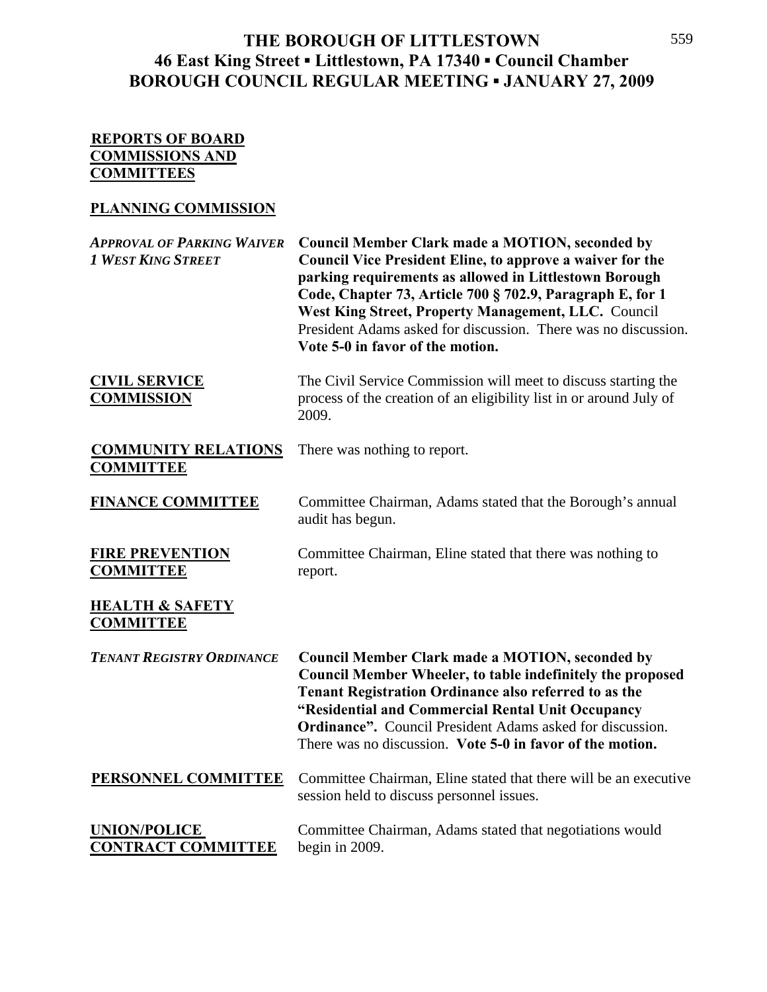### **THE BOROUGH OF LITTLESTOWN 46 East King Street ▪ Littlestown, PA 17340 ▪ Council Chamber BOROUGH COUNCIL REGULAR MEETING ▪ JANUARY 27, 2009**

#### **REPORTS OF BOARD COMMISSIONS AND COMMITTEES**

### **PLANNING COMMISSION**

| <b>APPROVAL OF PARKING WAIVER</b><br><b>1 WEST KING STREET</b> | <b>Council Member Clark made a MOTION, seconded by</b><br>Council Vice President Eline, to approve a waiver for the<br>parking requirements as allowed in Littlestown Borough<br>Code, Chapter 73, Article 700 § 702.9, Paragraph E, for 1<br>West King Street, Property Management, LLC. Council<br>President Adams asked for discussion. There was no discussion.<br>Vote 5-0 in favor of the motion. |
|----------------------------------------------------------------|---------------------------------------------------------------------------------------------------------------------------------------------------------------------------------------------------------------------------------------------------------------------------------------------------------------------------------------------------------------------------------------------------------|
| <b>CIVIL SERVICE</b><br><b>COMMISSION</b>                      | The Civil Service Commission will meet to discuss starting the<br>process of the creation of an eligibility list in or around July of<br>2009.                                                                                                                                                                                                                                                          |
| <b>COMMUNITY RELATIONS</b><br><b>COMMITTEE</b>                 | There was nothing to report.                                                                                                                                                                                                                                                                                                                                                                            |
| <b>FINANCE COMMITTEE</b>                                       | Committee Chairman, Adams stated that the Borough's annual<br>audit has begun.                                                                                                                                                                                                                                                                                                                          |
| <b>FIRE PREVENTION</b><br><b>COMMITTEE</b>                     | Committee Chairman, Eline stated that there was nothing to<br>report.                                                                                                                                                                                                                                                                                                                                   |
| <b>HEALTH &amp; SAFETY</b><br><b>COMMITTEE</b>                 |                                                                                                                                                                                                                                                                                                                                                                                                         |
| <b>TENANT REGISTRY ORDINANCE</b>                               | <b>Council Member Clark made a MOTION, seconded by</b><br><b>Council Member Wheeler, to table indefinitely the proposed</b><br><b>Tenant Registration Ordinance also referred to as the</b><br>"Residential and Commercial Rental Unit Occupancy<br><b>Ordinance".</b> Council President Adams asked for discussion.<br>There was no discussion. Vote 5-0 in favor of the motion.                       |
| PERSONNEL COMMITTEE                                            | Committee Chairman, Eline stated that there will be an executive<br>session held to discuss personnel issues.                                                                                                                                                                                                                                                                                           |
| <b>UNION/POLICE</b><br><b>CONTRACT COMMITTEE</b>               | Committee Chairman, Adams stated that negotiations would<br>begin in 2009.                                                                                                                                                                                                                                                                                                                              |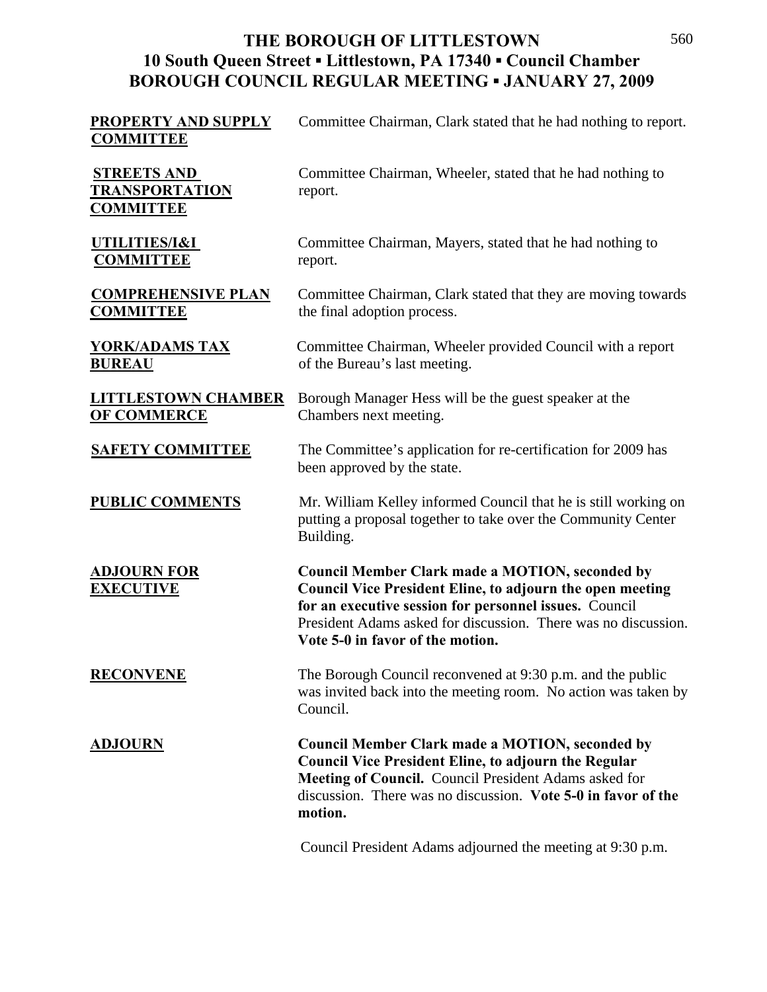# **THE BOROUGH OF LITTLESTOWN 10 South Queen Street ▪ Littlestown, PA 17340 ▪ Council Chamber BOROUGH COUNCIL REGULAR MEETING ▪ JANUARY 27, 2009**

| <b>PROPERTY AND SUPPLY</b><br><b>COMMITTEE</b>                  | Committee Chairman, Clark stated that he had nothing to report.                                                                                                                                                                                                                            |
|-----------------------------------------------------------------|--------------------------------------------------------------------------------------------------------------------------------------------------------------------------------------------------------------------------------------------------------------------------------------------|
| <b>STREETS AND</b><br><b>TRANSPORTATION</b><br><b>COMMITTEE</b> | Committee Chairman, Wheeler, stated that he had nothing to<br>report.                                                                                                                                                                                                                      |
| UTILITIES/I&I<br><b>COMMITTEE</b>                               | Committee Chairman, Mayers, stated that he had nothing to<br>report.                                                                                                                                                                                                                       |
| <b>COMPREHENSIVE PLAN</b><br><b>COMMITTEE</b>                   | Committee Chairman, Clark stated that they are moving towards<br>the final adoption process.                                                                                                                                                                                               |
| <u>YORK/ADAMS TAX</u><br><b>BUREAU</b>                          | Committee Chairman, Wheeler provided Council with a report<br>of the Bureau's last meeting.                                                                                                                                                                                                |
| <b>LITTLESTOWN CHAMBER</b><br><b>OF COMMERCE</b>                | Borough Manager Hess will be the guest speaker at the<br>Chambers next meeting.                                                                                                                                                                                                            |
| <b>SAFETY COMMITTEE</b>                                         | The Committee's application for re-certification for 2009 has<br>been approved by the state.                                                                                                                                                                                               |
| <b>PUBLIC COMMENTS</b>                                          | Mr. William Kelley informed Council that he is still working on<br>putting a proposal together to take over the Community Center<br>Building.                                                                                                                                              |
| <b>ADJOURN FOR</b><br><b>EXECUTIVE</b>                          | <b>Council Member Clark made a MOTION, seconded by</b><br><b>Council Vice President Eline, to adjourn the open meeting</b><br>for an executive session for personnel issues. Council<br>President Adams asked for discussion. There was no discussion.<br>Vote 5-0 in favor of the motion. |
| <b>RECONVENE</b>                                                | The Borough Council reconvened at 9:30 p.m. and the public<br>was invited back into the meeting room. No action was taken by<br>Council.                                                                                                                                                   |
| <u>ADJOURN</u>                                                  | <b>Council Member Clark made a MOTION, seconded by</b><br><b>Council Vice President Eline, to adjourn the Regular</b><br>Meeting of Council. Council President Adams asked for<br>discussion. There was no discussion. Vote 5-0 in favor of the<br>motion.                                 |
|                                                                 | Council President Adams adjourned the meeting at 9:30 p.m.                                                                                                                                                                                                                                 |